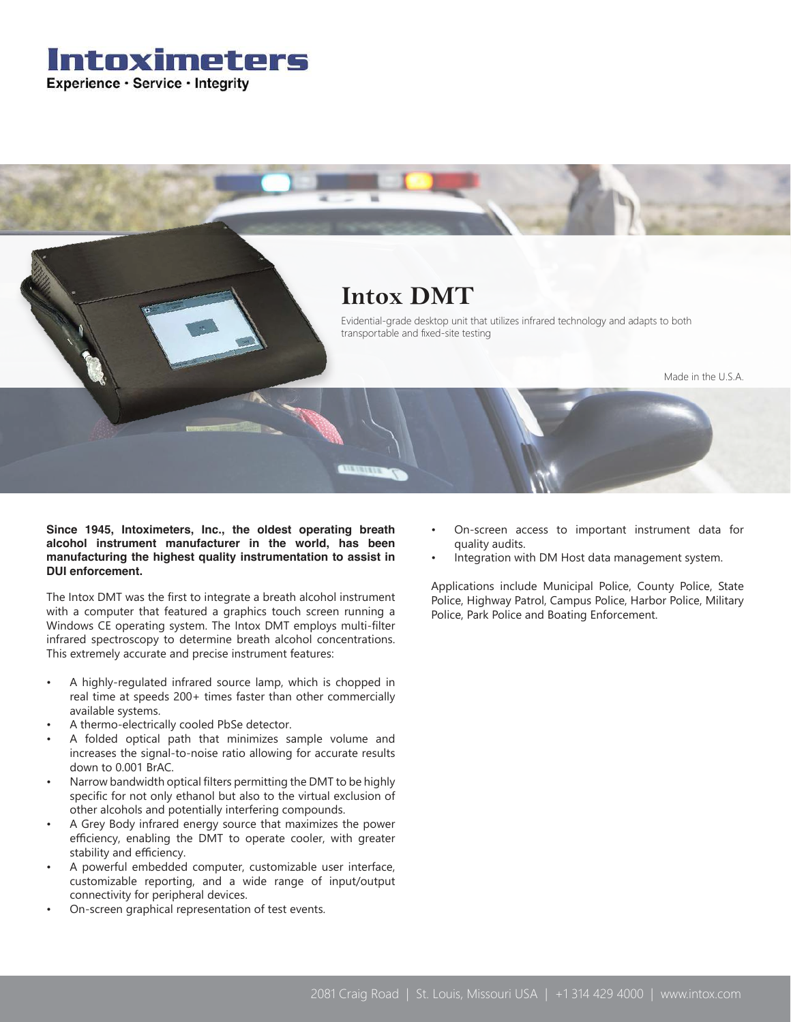



**Since 1945, Intoximeters, Inc., the oldest operating breath alcohol instrument manufacturer in the world, has been manufacturing the highest quality instrumentation to assist in DUI enforcement.** 

The Intox DMT was the first to integrate a breath alcohol instrument with a computer that featured a graphics touch screen running a Windows CE operating system. The Intox DMT employs multi-filter infrared spectroscopy to determine breath alcohol concentrations. This extremely accurate and precise instrument features:

- A highly-regulated infrared source lamp, which is chopped in real time at speeds 200+ times faster than other commercially available systems.
- A thermo-electrically cooled PbSe detector.
- A folded optical path that minimizes sample volume and increases the signal-to-noise ratio allowing for accurate results down to 0.001 BrAC.
- Narrow bandwidth optical filters permitting the DMT to be highly specific for not only ethanol but also to the virtual exclusion of other alcohols and potentially interfering compounds.
- A Grey Body infrared energy source that maximizes the power efficiency, enabling the DMT to operate cooler, with greater stability and efficiency.
- A powerful embedded computer, customizable user interface, customizable reporting, and a wide range of input/output connectivity for peripheral devices.
- On-screen graphical representation of test events.
- On-screen access to important instrument data for quality audits.
- Integration with DM Host data management system.

Applications include Municipal Police, County Police, State Police, Highway Patrol, Campus Police, Harbor Police, Military Police, Park Police and Boating Enforcement.